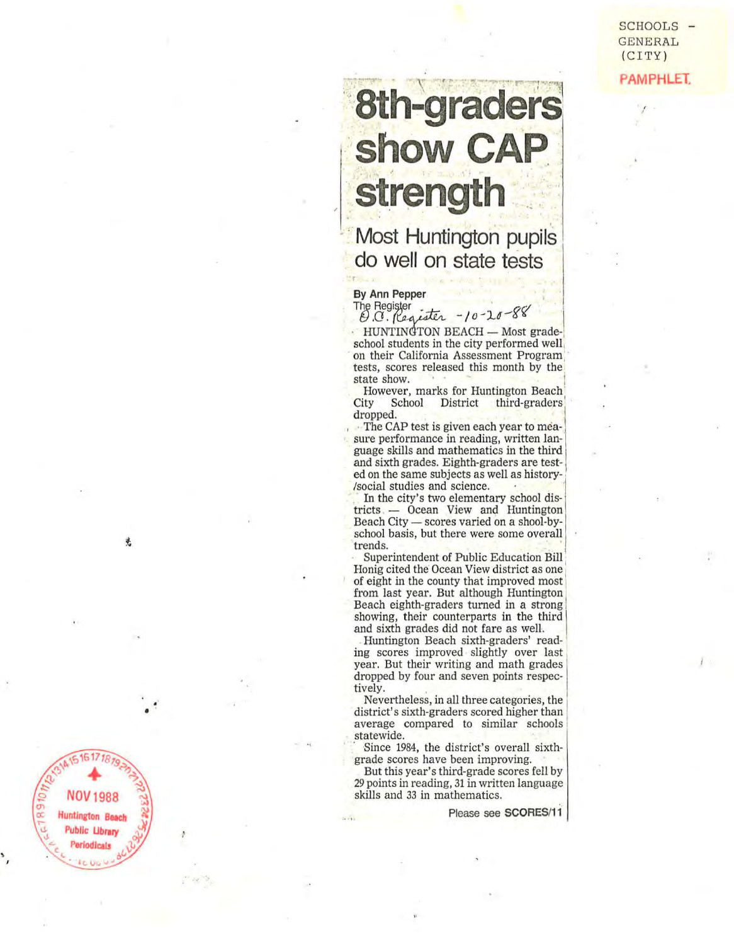SCHOOLS - GENERAL (CITY) **PAMPHLET:** 

 $\bar{l}$  .

!

# 8th-graders<br>show CAP strength

**- , ...** .,.-

 $\overline{\phantom{a}}$  ,  $\overline{\phantom{a}}$  ,  $\overline{\phantom{a}}$  ,  $\overline{\phantom{a}}$  ,  $\overline{\phantom{a}}$  ,  $\overline{\phantom{a}}$  ,  $\overline{\phantom{a}}$  ,  $\overline{\phantom{a}}$  ,  $\overline{\phantom{a}}$  ,  $\overline{\phantom{a}}$  ,  $\overline{\phantom{a}}$  ,  $\overline{\phantom{a}}$  ,  $\overline{\phantom{a}}$  ,  $\overline{\phantom{a}}$  ,  $\overline{\phantom{a}}$  ,  $\overline{\phantom{a}}$ 

1"II'

 $\mathbf{v}$ 

## **Most Huntington pupils do well on state tests**

### By Ann Pepper

'.~-"""'"

The Register<br>*Q.C.* (Cequater -10-20-88)

HUNTINGTON BEACH - Most gradeschool students in the city performed well, on their California Assessment Program.<br>tests, scores released this month by the state show.  $\ddot{\phantom{0}}$ this month by the

However, marks for Huntington Beach City School District ders dropped.

, . The CAP test is given each year to measure performance in reading, written language skills and mathematics in the third and sixth grades. Eighth-graders are test-<br>ed on the same subjects as well as history-<br>/social studies and science. . . . . In the city's two elementary school dis-<br>tricts. - Ocean View and Huntington

Beach City - scores varied on a shool-byschool basis, but there were some overall trends.<br>
Superintendent of Public Education Bill

Honig cited the Ocean View district as one of eight in the county that improved most<br>from last year. But although Huntington Beach eighth-graders turned in a strong showing, their counterparts in the third \

and sixth grades did not fare as welL . Huntington Beach sixth-graders' reading scores improved slightly over last year. But their writing and math grades dropped by four and seven points respectively.

Neverthe less, in all three categories, the di strict's sixth-graders scored higher than average compared to similar schools statewide.

•

**NOV 1988 Huntington Beach Public Library** eriodical

莞

Since 1984, the di strict's overall sixt h - grade scores have been improving.

But this year's third-grade scores fell by 29 points in reading, 31 in written language skills and 33 in mathematics.

Please see SCORES/11